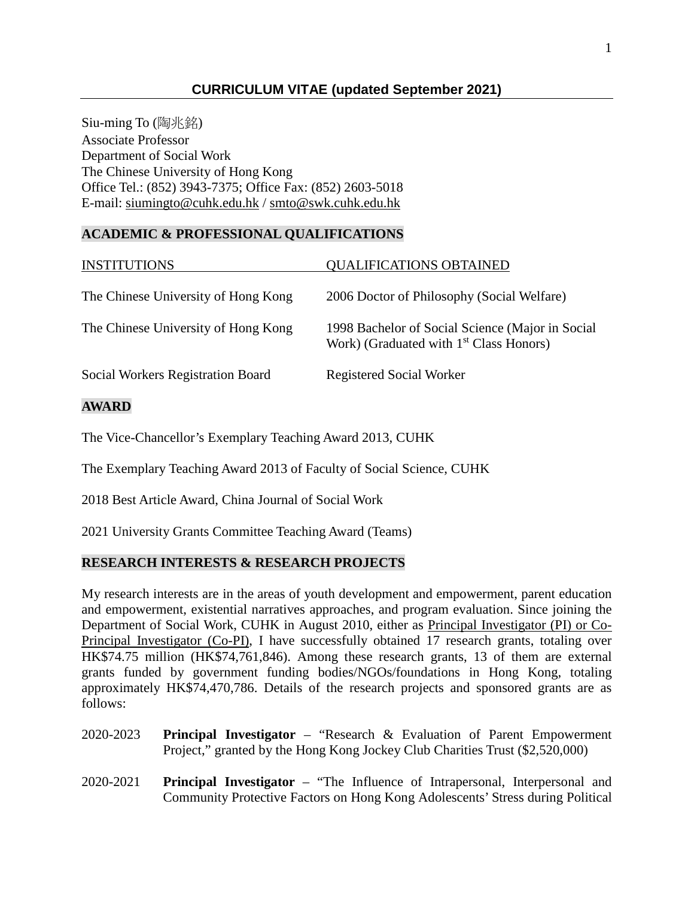## **CURRICULUM VITAE (updated September 2021)**

Siu-ming To (陶兆銘) Associate Professor Department of Social Work The Chinese University of Hong Kong Office Tel.: (852) 3943-7375; Office Fax: (852) 2603-5018 E-mail: [siumingto@cuhk.edu.hk](mailto:siumingto@cuhk.edu.hk) / [smto@swk.cuhk.edu.hk](mailto:smto@swk.cuhk.edu.hk)

### **ACADEMIC & PROFESSIONAL QUALIFICATIONS**

| <b>INSTITUTIONS</b>                      | <b>QUALIFICATIONS OBTAINED</b>                                                                 |
|------------------------------------------|------------------------------------------------------------------------------------------------|
| The Chinese University of Hong Kong      | 2006 Doctor of Philosophy (Social Welfare)                                                     |
| The Chinese University of Hong Kong      | 1998 Bachelor of Social Science (Major in Social<br>Work) (Graduated with $1st Class Honors$ ) |
| <b>Social Workers Registration Board</b> | <b>Registered Social Worker</b>                                                                |
|                                          |                                                                                                |

## **AWARD**

The Vice-Chancellor's Exemplary Teaching Award 2013, CUHK

The Exemplary Teaching Award 2013 of Faculty of Social Science, CUHK

2018 Best Article Award, China Journal of Social Work

2021 University Grants Committee Teaching Award (Teams)

### **RESEARCH INTERESTS & RESEARCH PROJECTS**

My research interests are in the areas of youth development and empowerment, parent education and empowerment, existential narratives approaches, and program evaluation. Since joining the Department of Social Work, CUHK in August 2010, either as Principal Investigator (PI) or Co-Principal Investigator (Co-PI), I have successfully obtained 17 research grants, totaling over HK\$74.75 million (HK\$74,761,846). Among these research grants, 13 of them are external grants funded by government funding bodies/NGOs/foundations in Hong Kong, totaling approximately HK\$74,470,786. Details of the research projects and sponsored grants are as follows:

- 2020-2023 **Principal Investigator** "Research & Evaluation of Parent Empowerment Project," granted by the Hong Kong Jockey Club Charities Trust (\$2,520,000)
- 2020-2021 **Principal Investigator** "The Influence of Intrapersonal, Interpersonal and Community Protective Factors on Hong Kong Adolescents' Stress during Political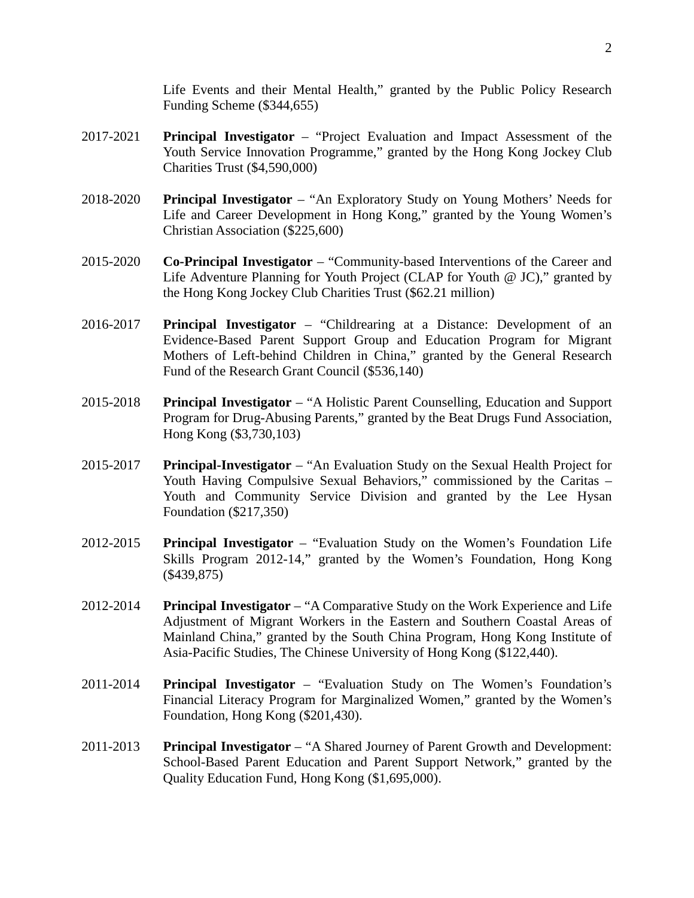Life Events and their Mental Health," granted by the Public Policy Research Funding Scheme (\$344,655)

- 2017-2021 **Principal Investigator** "Project Evaluation and Impact Assessment of the Youth Service Innovation Programme," granted by the Hong Kong Jockey Club Charities Trust (\$4,590,000)
- 2018-2020 **Principal Investigator**  "An Exploratory Study on Young Mothers' Needs for Life and Career Development in Hong Kong," granted by the Young Women's Christian Association (\$225,600)
- 2015-2020 **Co-Principal Investigator** "Community-based Interventions of the Career and Life Adventure Planning for Youth Project (CLAP for Youth @ JC)," granted by the Hong Kong Jockey Club Charities Trust (\$62.21 million)
- 2016-2017 **Principal Investigator** "Childrearing at a Distance: Development of an Evidence-Based Parent Support Group and Education Program for Migrant Mothers of Left-behind Children in China," granted by the General Research Fund of the Research Grant Council (\$536,140)
- 2015-2018 **Principal Investigator** "A Holistic Parent Counselling, Education and Support Program for Drug-Abusing Parents," granted by the Beat Drugs Fund Association, Hong Kong (\$3,730,103)
- 2015-2017 **Principal-Investigator** "An Evaluation Study on the Sexual Health Project for Youth Having Compulsive Sexual Behaviors," commissioned by the Caritas – Youth and Community Service Division and granted by the Lee Hysan Foundation (\$217,350)
- 2012-2015 **Principal Investigator** "Evaluation Study on the Women's Foundation Life Skills Program 2012-14," granted by the Women's Foundation, Hong Kong (\$439,875)
- 2012-2014 **Principal Investigator** "A Comparative Study on the Work Experience and Life Adjustment of Migrant Workers in the Eastern and Southern Coastal Areas of Mainland China," granted by the South China Program, Hong Kong Institute of Asia-Pacific Studies, The Chinese University of Hong Kong (\$122,440).
- 2011-2014 **Principal Investigator** "Evaluation Study on The Women's Foundation's Financial Literacy Program for Marginalized Women," granted by the Women's Foundation, Hong Kong (\$201,430).
- 2011-2013 **Principal Investigator** "A Shared Journey of Parent Growth and Development: School-Based Parent Education and Parent Support Network," granted by the Quality Education Fund, Hong Kong (\$1,695,000).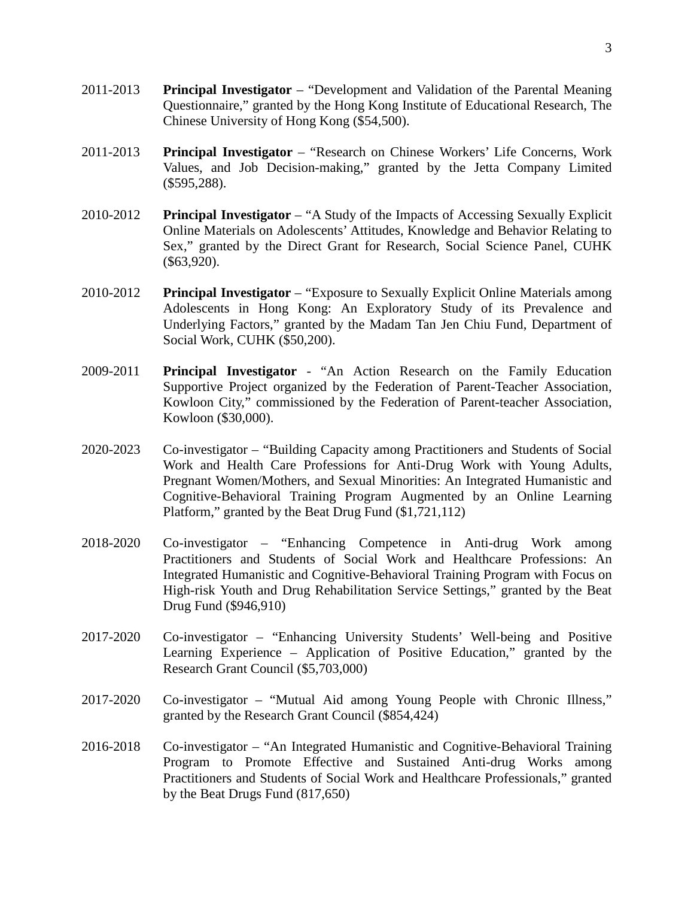- 2011-2013 **Principal Investigator** "Development and Validation of the Parental Meaning Questionnaire," granted by the Hong Kong Institute of Educational Research, The Chinese University of Hong Kong (\$54,500).
- 2011-2013 **Principal Investigator** "Research on Chinese Workers' Life Concerns, Work Values, and Job Decision-making," granted by the Jetta Company Limited (\$595,288).
- 2010-2012 **Principal Investigator** "A Study of the Impacts of Accessing Sexually Explicit Online Materials on Adolescents' Attitudes, Knowledge and Behavior Relating to Sex," granted by the Direct Grant for Research, Social Science Panel, CUHK (\$63,920).
- 2010-2012 **Principal Investigator** "Exposure to Sexually Explicit Online Materials among Adolescents in Hong Kong: An Exploratory Study of its Prevalence and Underlying Factors," granted by the Madam Tan Jen Chiu Fund, Department of Social Work, CUHK (\$50,200).
- 2009-2011 **Principal Investigator** "An Action Research on the Family Education Supportive Project organized by the Federation of Parent-Teacher Association, Kowloon City," commissioned by the Federation of Parent-teacher Association, Kowloon (\$30,000).
- 2020-2023 Co-investigator "Building Capacity among Practitioners and Students of Social Work and Health Care Professions for Anti-Drug Work with Young Adults, Pregnant Women/Mothers, and Sexual Minorities: An Integrated Humanistic and Cognitive-Behavioral Training Program Augmented by an Online Learning Platform," granted by the Beat Drug Fund (\$1,721,112)
- 2018-2020 Co-investigator "Enhancing Competence in Anti-drug Work among Practitioners and Students of Social Work and Healthcare Professions: An Integrated Humanistic and Cognitive-Behavioral Training Program with Focus on High-risk Youth and Drug Rehabilitation Service Settings," granted by the Beat Drug Fund (\$946,910)
- 2017-2020 Co-investigator "Enhancing University Students' Well-being and Positive Learning Experience – Application of Positive Education," granted by the Research Grant Council (\$5,703,000)
- 2017-2020 Co-investigator "Mutual Aid among Young People with Chronic Illness," granted by the Research Grant Council (\$854,424)
- 2016-2018 Co-investigator "An Integrated Humanistic and Cognitive-Behavioral Training Program to Promote Effective and Sustained Anti-drug Works among Practitioners and Students of Social Work and Healthcare Professionals," granted by the Beat Drugs Fund (817,650)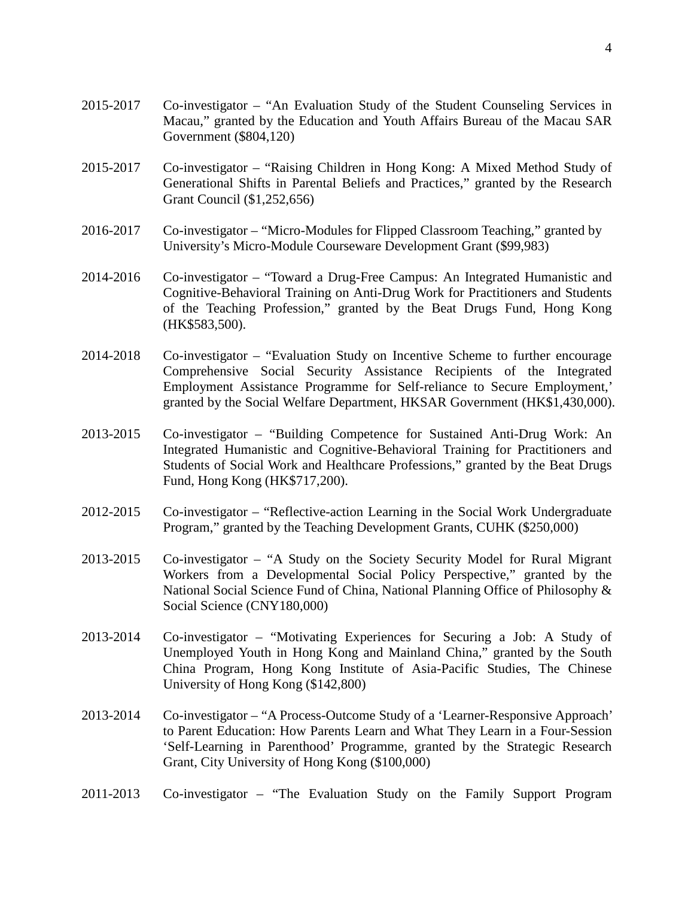- 2015-2017 Co-investigator "An Evaluation Study of the Student Counseling Services in Macau," granted by the Education and Youth Affairs Bureau of the Macau SAR Government (\$804,120)
- 2015-2017 Co-investigator "Raising Children in Hong Kong: A Mixed Method Study of Generational Shifts in Parental Beliefs and Practices," granted by the Research Grant Council (\$1,252,656)
- 2016-2017 Co-investigator "Micro-Modules for Flipped Classroom Teaching," granted by University's Micro-Module Courseware Development Grant (\$99,983)
- 2014-2016 Co-investigator "Toward a Drug-Free Campus: An Integrated Humanistic and Cognitive-Behavioral Training on Anti-Drug Work for Practitioners and Students of the Teaching Profession," granted by the Beat Drugs Fund, Hong Kong (HK\$583,500).
- 2014-2018 Co-investigator "Evaluation Study on Incentive Scheme to further encourage Comprehensive Social Security Assistance Recipients of the Integrated Employment Assistance Programme for Self-reliance to Secure Employment,' granted by the Social Welfare Department, HKSAR Government (HK\$1,430,000).
- 2013-2015 Co-investigator "Building Competence for Sustained Anti-Drug Work: An Integrated Humanistic and Cognitive-Behavioral Training for Practitioners and Students of Social Work and Healthcare Professions," granted by the Beat Drugs Fund, Hong Kong (HK\$717,200).
- 2012-2015 Co-investigator "Reflective-action Learning in the Social Work Undergraduate Program," granted by the Teaching Development Grants, CUHK (\$250,000)
- 2013-2015 Co-investigator "A Study on the Society Security Model for Rural Migrant Workers from a Developmental Social Policy Perspective," granted by the National Social Science Fund of China, National Planning Office of Philosophy & Social Science (CNY180,000)
- 2013-2014 Co-investigator "Motivating Experiences for Securing a Job: A Study of Unemployed Youth in Hong Kong and Mainland China," granted by the South China Program, Hong Kong Institute of Asia-Pacific Studies, The Chinese University of Hong Kong (\$142,800)
- 2013-2014 Co-investigator "A Process-Outcome Study of a 'Learner-Responsive Approach' to Parent Education: How Parents Learn and What They Learn in a Four-Session 'Self-Learning in Parenthood' Programme, granted by the Strategic Research Grant, City University of Hong Kong (\$100,000)
- 2011-2013 Co-investigator "The Evaluation Study on the Family Support Program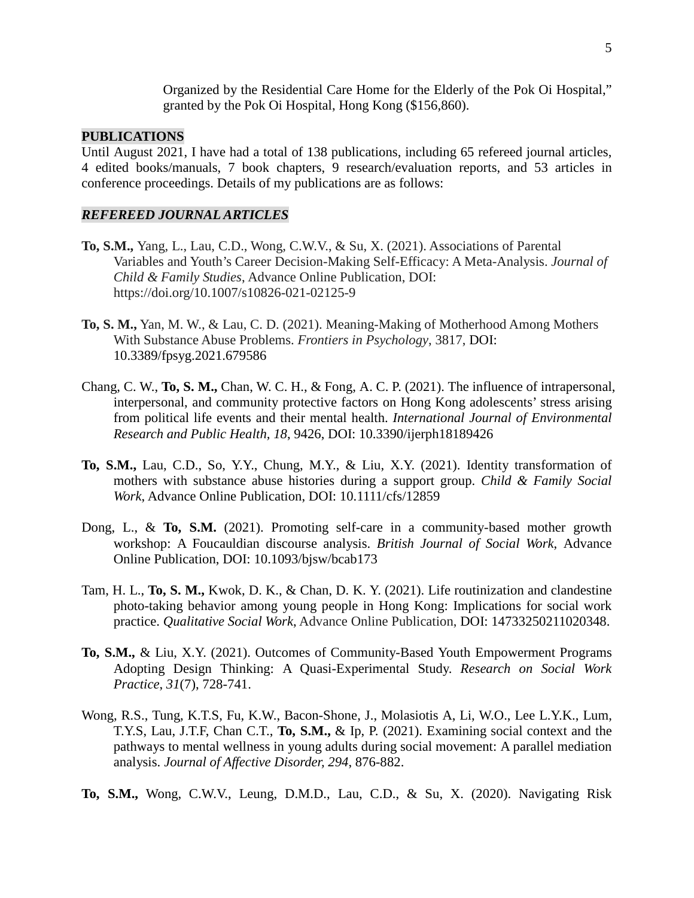Organized by the Residential Care Home for the Elderly of the Pok Oi Hospital," granted by the Pok Oi Hospital, Hong Kong (\$156,860).

#### **PUBLICATIONS**

Until August 2021, I have had a total of 138 publications, including 65 refereed journal articles, 4 edited books/manuals, 7 book chapters, 9 research/evaluation reports, and 53 articles in conference proceedings. Details of my publications are as follows:

#### *REFEREED JOURNAL ARTICLES*

- **To, S.M.,** Yang, L., Lau, C.D., Wong, C.W.V., & Su, X. (2021). Associations of Parental Variables and Youth's Career Decision-Making Self-Efficacy: A Meta-Analysis. *Journal of Child & Family Studies*, Advance Online Publication, DOI: https://doi.org/10.1007/s10826-021-02125-9
- **To, S. M.,** Yan, M. W., & Lau, C. D. (2021). Meaning-Making of Motherhood Among Mothers With Substance Abuse Problems. *Frontiers in Psychology*, 3817, DOI: 10.3389/fpsyg.2021.679586
- Chang, C. W., **To, S. M.,** Chan, W. C. H., & Fong, A. C. P. (2021). The influence of intrapersonal, interpersonal, and community protective factors on Hong Kong adolescents' stress arising from political life events and their mental health. *International Journal of Environmental Research and Public Health, 18*, 9426, DOI: 10.3390/ijerph18189426
- **To, S.M.,** Lau, C.D., So, Y.Y., Chung, M.Y., & Liu, X.Y. (2021). Identity transformation of mothers with substance abuse histories during a support group. *Child & Family Social Work*, Advance Online Publication, DOI: 10.1111/cfs/12859
- Dong, L., & **To, S.M.** (2021). Promoting self-care in a community-based mother growth workshop: A Foucauldian discourse analysis. *British Journal of Social Work*, Advance Online Publication, DOI: 10.1093/bjsw/bcab173
- Tam, H. L., **To, S. M.,** Kwok, D. K., & Chan, D. K. Y. (2021). Life routinization and clandestine photo-taking behavior among young people in Hong Kong: Implications for social work practice. *Qualitative Social Work*, Advance Online Publication, DOI: 14733250211020348.
- **To, S.M.,** & Liu, X.Y. (2021). Outcomes of Community-Based Youth Empowerment Programs Adopting Design Thinking: A Quasi-Experimental Study. *Research on Social Work Practice*, *31*(7), 728-741.
- Wong, R.S., Tung, K.T.S, Fu, K.W., Bacon-Shone, J., Molasiotis A, Li, W.O., Lee L.Y.K., Lum, T.Y.S, Lau, J.T.F, Chan C.T., **To, S.M.,** & Ip, P. (2021). Examining social context and the pathways to mental wellness in young adults during social movement: A parallel mediation analysis. *Journal of Affective Disorder, 294*, 876-882.
- **To, S.M.,** Wong, C.W.V., Leung, D.M.D., Lau, C.D., & Su, X. (2020). Navigating Risk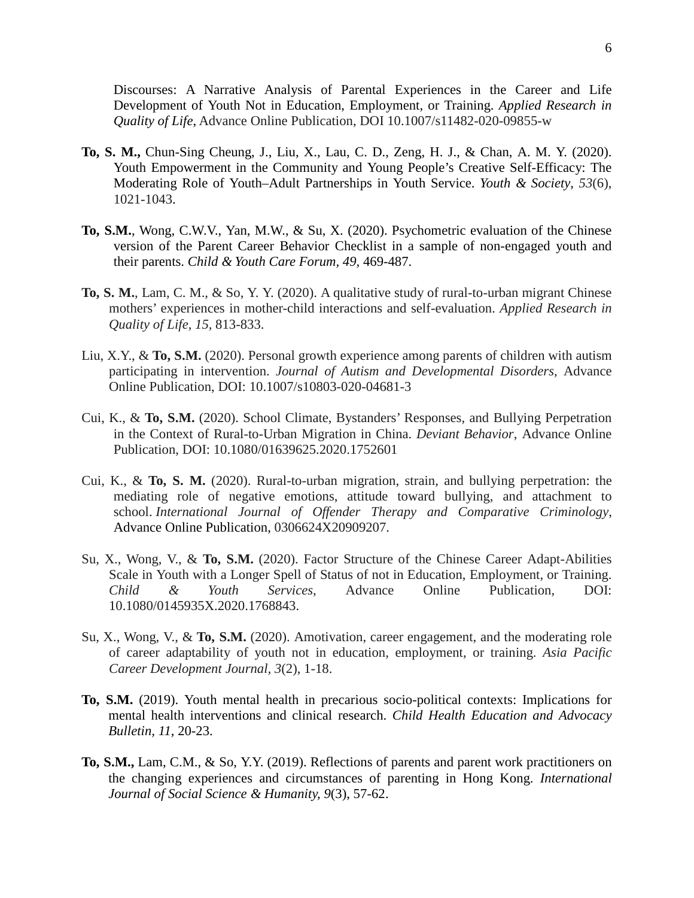Discourses: A Narrative Analysis of Parental Experiences in the Career and Life Development of Youth Not in Education, Employment, or Training. *Applied Research in Quality of Life*, Advance Online Publication, DOI 10.1007/s11482-020-09855-w

- **To, S. M.,** Chun-Sing Cheung, J., Liu, X., Lau, C. D., Zeng, H. J., & Chan, A. M. Y. (2020). Youth Empowerment in the Community and Young People's Creative Self-Efficacy: The Moderating Role of Youth–Adult Partnerships in Youth Service. *Youth & Society*, *53*(6), 1021-1043.
- **To, S.M.**, Wong, C.W.V., Yan, M.W., & Su, X. (2020). Psychometric evaluation of the Chinese version of the Parent Career Behavior Checklist in a sample of non-engaged youth and their parents. *Child & Youth Care Forum, 49,* 469-487.
- **To, S. M.**, Lam, C. M., & So, Y. Y. (2020). A qualitative study of rural-to-urban migrant Chinese mothers' experiences in mother-child interactions and self-evaluation. *Applied Research in Quality of Life, 15,* 813-833.
- Liu, X.Y., & **To, S.M.** (2020). Personal growth experience among parents of children with autism participating in intervention. *Journal of Autism and Developmental Disorders*, Advance Online Publication, DOI: 10.1007/s10803-020-04681-3
- Cui, K., & **To, S.M.** (2020). School Climate, Bystanders' Responses, and Bullying Perpetration in the Context of Rural-to-Urban Migration in China. *Deviant Behavior*, Advance Online Publication, DOI: 10.1080/01639625.2020.1752601
- Cui, K., & **To, S. M.** (2020). Rural-to-urban migration, strain, and bullying perpetration: the mediating role of negative emotions, attitude toward bullying, and attachment to school. *International Journal of Offender Therapy and Comparative Criminology*, Advance Online Publication, 0306624X20909207.
- Su, X., Wong, V., & **To, S.M.** (2020). Factor Structure of the Chinese Career Adapt-Abilities Scale in Youth with a Longer Spell of Status of not in Education, Employment, or Training. *Child & Youth Services*, Advance Online Publication, DOI: 10.1080/0145935X.2020.1768843.
- Su, X., Wong, V., & **To, S.M.** (2020). Amotivation, career engagement, and the moderating role of career adaptability of youth not in education, employment, or training. *Asia Pacific Career Development Journal, 3*(2), 1-18.
- **To, S.M.** (2019). Youth mental health in precarious socio-political contexts: Implications for mental health interventions and clinical research. *Child Health Education and Advocacy Bulletin, 11*, 20-23.
- **To, S.M.,** Lam, C.M., & So, Y.Y. (2019). Reflections of parents and parent work practitioners on the changing experiences and circumstances of parenting in Hong Kong. *International Journal of Social Science & Humanity, 9*(3), 57-62.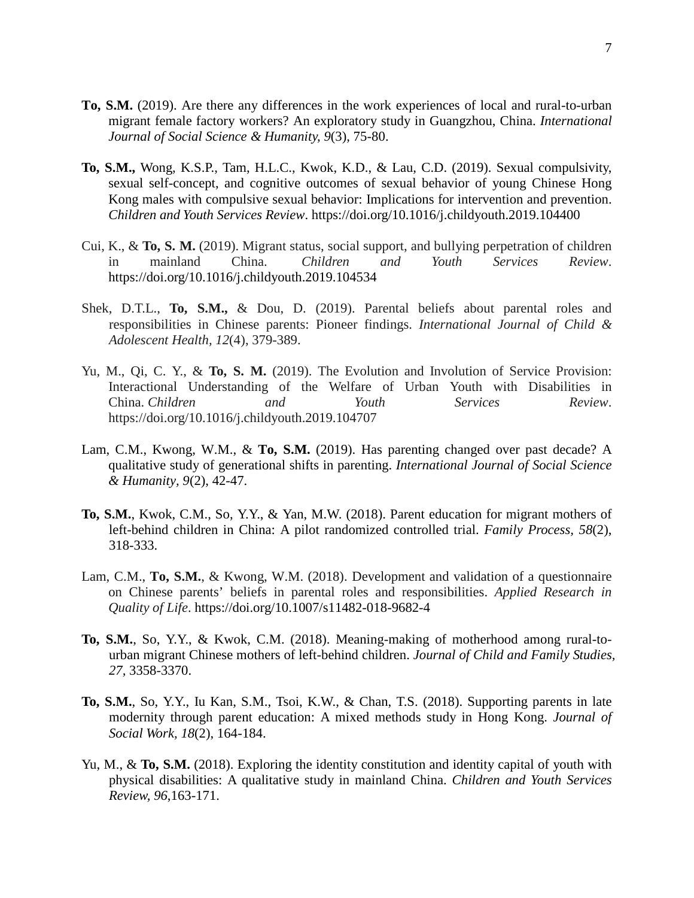- **To, S.M.** (2019). Are there any differences in the work experiences of local and rural-to-urban migrant female factory workers? An exploratory study in Guangzhou, China. *International Journal of Social Science & Humanity, 9*(3), 75-80.
- **To, S.M.,** Wong, K.S.P., Tam, H.L.C., Kwok, K.D., & Lau, C.D. (2019). Sexual compulsivity, sexual self-concept, and cognitive outcomes of sexual behavior of young Chinese Hong Kong males with compulsive sexual behavior: Implications for intervention and prevention. *Children and Youth Services Review*. https://doi.org/10.1016/j.childyouth.2019.104400
- Cui, K., & **To, S. M.** (2019). Migrant status, social support, and bullying perpetration of children in mainland China. *Children and Youth Services Review*. <https://doi.org/10.1016/j.childyouth.2019.104534>
- Shek, D.T.L., **To, S.M.,** & Dou, D. (2019). Parental beliefs about parental roles and responsibilities in Chinese parents: Pioneer findings. *International Journal of Child & Adolescent Health, 12*(4), 379-389.
- Yu, M., Qi, C. Y., & **To, S. M.** (2019). The Evolution and Involution of Service Provision: Interactional Understanding of the Welfare of Urban Youth with Disabilities in China. *Children and Youth Services Review*. https://doi.org/10.1016/j.childyouth.2019.104707
- Lam, C.M., Kwong, W.M., & **To, S.M.** (2019). Has parenting changed over past decade? A qualitative study of generational shifts in parenting. *International Journal of Social Science & Humanity, 9*(2), 42-47.
- **To, S.M.**, Kwok, C.M., So, Y.Y., & Yan, M.W. (2018). Parent education for migrant mothers of left-behind children in China: A pilot randomized controlled trial. *Family Process, 58*(2), 318-333.
- Lam, C.M., **To, S.M.**, & Kwong, W.M. (2018). Development and validation of a questionnaire on Chinese parents' beliefs in parental roles and responsibilities. *Applied Research in Quality of Life*.<https://doi.org/10.1007/s11482-018-9682-4>
- **To, S.M.**, So, Y.Y., & Kwok, C.M. (2018). Meaning-making of motherhood among rural-tourban migrant Chinese mothers of left-behind children. *Journal of Child and Family Studies, 27,* 3358-3370.
- **To, S.M.**, So, Y.Y., Iu Kan, S.M., Tsoi, K.W., & Chan, T.S. (2018). Supporting parents in late modernity through parent education: A mixed methods study in Hong Kong. *Journal of Social Work, 18*(2), 164-184.
- Yu, M., & **To, S.M.** (2018). Exploring the identity constitution and identity capital of youth with physical disabilities: A qualitative study in mainland China. *Children and Youth Services Review, 96*,163-171.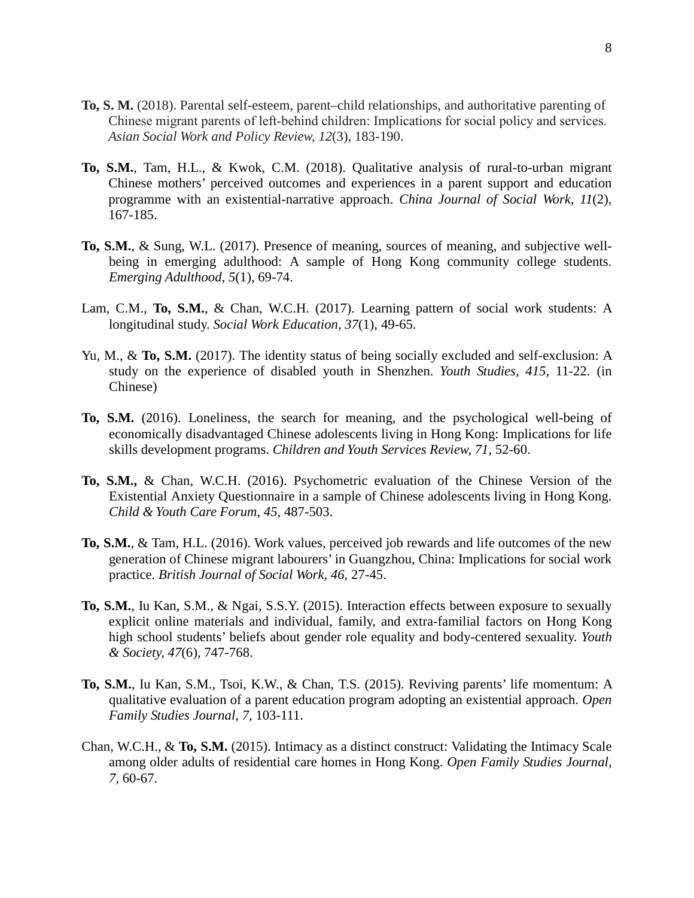- **To, S. M.** (2018). Parental self-esteem, parent–child relationships, and authoritative parenting of Chinese migrant parents of left‐behind children: Implications for social policy and services. *Asian Social Work and Policy Review, 12*(3), 183-190.
- **To, S.M.**, Tam, H.L., & Kwok, C.M. (2018). Qualitative analysis of rural-to-urban migrant Chinese mothers' perceived outcomes and experiences in a parent support and education programme with an existential-narrative approach. *China Journal of Social Work, 11*(2), 167-185.
- **To, S.M.**, & Sung, W.L. (2017). Presence of meaning, sources of meaning, and subjective wellbeing in emerging adulthood: A sample of Hong Kong community college students. *Emerging Adulthood*, *5*(1), 69-74.
- Lam, C.M., **To, S.M.**, & Chan, W.C.H. (2017). Learning pattern of social work students: A longitudinal study. *Social Work Education, 37*(1), 49-65.
- Yu, M., & To, S.M. (2017). The identity status of being socially excluded and self-exclusion: A study on the experience of disabled youth in Shenzhen. *Youth Studies, 415*, 11-22. (in Chinese)
- **To, S.M.** (2016). Loneliness, the search for meaning, and the psychological well-being of economically disadvantaged Chinese adolescents living in Hong Kong: Implications for life skills development programs. *Children and Youth Services Review, 71*, 52-60.
- **To, S.M.,** & Chan, W.C.H. (2016). Psychometric evaluation of the Chinese Version of the Existential Anxiety Questionnaire in a sample of Chinese adolescents living in Hong Kong. *Child & Youth Care Forum*, *45*, 487-503.
- **To, S.M.**, & Tam, H.L. (2016). Work values, perceived job rewards and life outcomes of the new generation of Chinese migrant labourers' in Guangzhou, China: Implications for social work practice. *British Journal of Social Work, 46,* 27-45.
- **To, S.M.**, Iu Kan, S.M., & Ngai, S.S.Y. (2015). Interaction effects between exposure to sexually explicit online materials and individual, family, and extra-familial factors on Hong Kong high school students' beliefs about gender role equality and body-centered sexuality. *Youth & Society, 47*(6), 747-768.
- **To, S.M.**, Iu Kan, S.M., Tsoi, K.W., & Chan, T.S. (2015). Reviving parents' life momentum: A qualitative evaluation of a parent education program adopting an existential approach. *Open Family Studies Journal, 7,* 103-111.
- Chan, W.C.H., & **To, S.M.** (2015). Intimacy as a distinct construct: Validating the Intimacy Scale among older adults of residential care homes in Hong Kong. *Open Family Studies Journal, 7,* 60-67.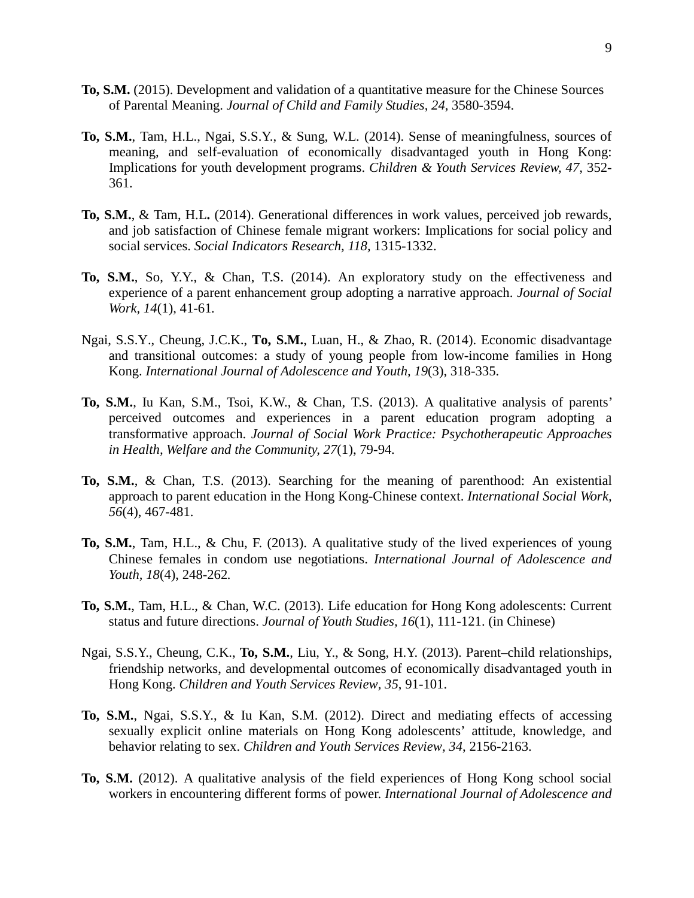- **To, S.M.** (2015). Development and validation of a quantitative measure for the Chinese Sources of Parental Meaning. *Journal of Child and Family Studies*, *24*, 3580-3594.
- **To, S.M.**, Tam, H.L., Ngai, S.S.Y., & Sung, W.L. (2014). Sense of meaningfulness, sources of meaning, and self-evaluation of economically disadvantaged youth in Hong Kong: Implications for youth development programs. *Children & Youth Services Review, 47,* 352- 361.
- **To, S.M.**, & Tam, H.L**.** (2014). Generational differences in work values, perceived job rewards, and job satisfaction of Chinese female migrant workers: Implications for social policy and social services. *Social Indicators Research, 118,* 1315-1332.
- **To, S.M.**, So, Y.Y., & Chan, T.S. (2014). An exploratory study on the effectiveness and experience of a parent enhancement group adopting a narrative approach. *Journal of Social Work, 14*(1), 41-61*.*
- Ngai, S.S.Y., Cheung, J.C.K., **To, S.M.**, Luan, H., & Zhao, R. (2014). Economic disadvantage and transitional outcomes: a study of young people from low-income families in Hong Kong. *International Journal of Adolescence and Youth, 19*(3), 318-335.
- **To, S.M.**, Iu Kan, S.M., Tsoi, K.W., & Chan, T.S. (2013). A qualitative analysis of parents' perceived outcomes and experiences in a parent education program adopting a transformative approach. *Journal of Social Work Practice: Psychotherapeutic Approaches in Health, Welfare and the Community, 27*(1), 79-94*.*
- **To, S.M.**, & Chan, T.S. (2013). Searching for the meaning of parenthood: An existential approach to parent education in the Hong Kong-Chinese context. *International Social Work, 56*(4), 467-481.
- **To, S.M.**, Tam, H.L., & Chu, F. (2013). A qualitative study of the lived experiences of young Chinese females in condom use negotiations. *International Journal of Adolescence and Youth, 18*(4), 248-262*.*
- **To, S.M.**, Tam, H.L., & Chan, W.C. (2013). Life education for Hong Kong adolescents: Current status and future directions. *Journal of Youth Studies, 16*(1), 111-121. (in Chinese)
- Ngai, S.S.Y., Cheung, C.K., **To, S.M.**, Liu, Y., & Song, H.Y. (2013). Parent–child relationships, friendship networks, and developmental outcomes of economically disadvantaged youth in Hong Kong. *Children and Youth Services Review, 35*, 91-101.
- **To, S.M.**, Ngai, S.S.Y., & Iu Kan, S.M. (2012). Direct and mediating effects of accessing sexually explicit online materials on Hong Kong adolescents' attitude, knowledge, and behavior relating to sex. *Children and Youth Services Review, 34*, 2156-2163.
- **To, S.M.** (2012). A qualitative analysis of the field experiences of Hong Kong school social workers in encountering different forms of power. *International Journal of Adolescence and*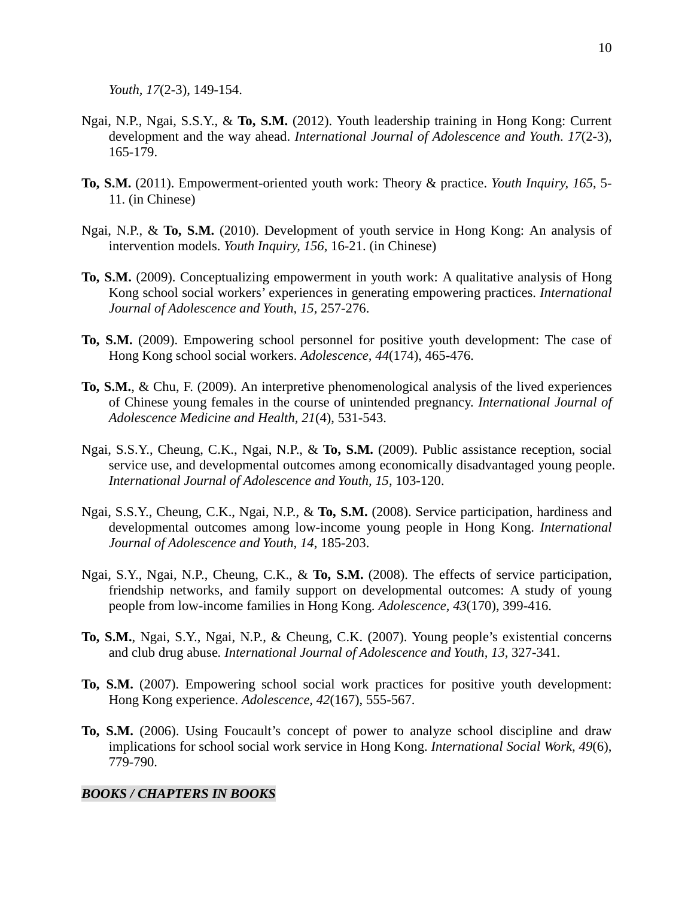*Youth, 17*(2-3), 149-154.

- Ngai, N.P., Ngai, S.S.Y., & **To, S.M.** (2012). Youth leadership training in Hong Kong: Current development and the way ahead. *International Journal of Adolescence and Youth*. *17*(2-3), 165-179.
- **To, S.M.** (2011). Empowerment-oriented youth work: Theory & practice. *Youth Inquiry, 165*, 5- 11. (in Chinese)
- Ngai, N.P., & **To, S.M.** (2010). Development of youth service in Hong Kong: An analysis of intervention models. *Youth Inquiry, 156*, 16-21. (in Chinese)
- **To, S.M.** (2009). Conceptualizing empowerment in youth work: A qualitative analysis of Hong Kong school social workers' experiences in generating empowering practices. *International Journal of Adolescence and Youth, 15,* 257-276.
- **To, S.M.** (2009). Empowering school personnel for positive youth development: The case of Hong Kong school social workers. *Adolescence, 44*(174), 465-476.
- **To, S.M.**, & Chu, F. (2009). An interpretive phenomenological analysis of the lived experiences of Chinese young females in the course of unintended pregnancy. *International Journal of Adolescence Medicine and Health, 21*(4), 531-543.
- Ngai, S.S.Y., Cheung, C.K., Ngai, N.P., & **To, S.M.** (2009). Public assistance reception, social service use, and developmental outcomes among economically disadvantaged young people. *International Journal of Adolescence and Youth, 15*, 103-120.
- Ngai, S.S.Y., Cheung, C.K., Ngai, N.P., & **To, S.M.** (2008). Service participation, hardiness and developmental outcomes among low-income young people in Hong Kong. *International Journal of Adolescence and Youth, 14*, 185-203.
- Ngai, S.Y., Ngai, N.P., Cheung, C.K., & **To, S.M.** (2008). The effects of service participation, friendship networks, and family support on developmental outcomes: A study of young people from low-income families in Hong Kong. *Adolescence, 43*(170), 399-416.
- **To, S.M.**, Ngai, S.Y., Ngai, N.P., & Cheung, C.K. (2007). Young people's existential concerns and club drug abuse*. International Journal of Adolescence and Youth, 13,* 327-341.
- **To, S.M.** (2007). Empowering school social work practices for positive youth development: Hong Kong experience. *Adolescence, 42*(167), 555-567.
- **To, S.M.** (2006). Using Foucault's concept of power to analyze school discipline and draw implications for school social work service in Hong Kong. *International Social Work, 49*(6), 779-790.

### *BOOKS / CHAPTERS IN BOOKS*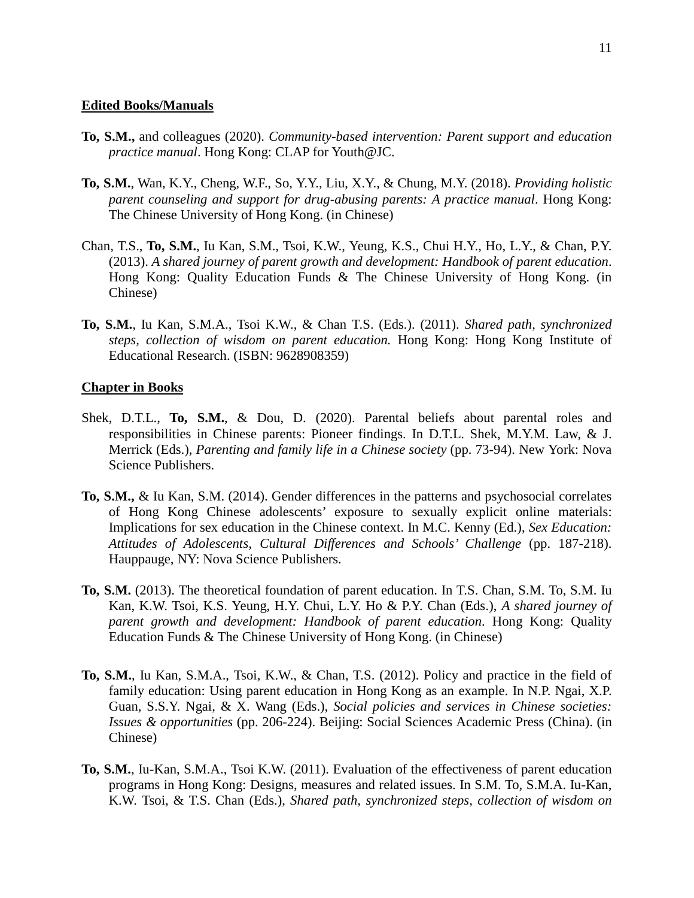#### **Edited Books/Manuals**

- **To, S.M.,** and colleagues (2020). *Community-based intervention: Parent support and education practice manual*. Hong Kong: CLAP for Youth@JC.
- **To, S.M.**, Wan, K.Y., Cheng, W.F., So, Y.Y., Liu, X.Y., & Chung, M.Y. (2018). *Providing holistic parent counseling and support for drug-abusing parents: A practice manual*. Hong Kong: The Chinese University of Hong Kong. (in Chinese)
- Chan, T.S., **To, S.M.**, Iu Kan, S.M., Tsoi, K.W., Yeung, K.S., Chui H.Y., Ho, L.Y., & Chan, P.Y. (2013). *A shared journey of parent growth and development: Handbook of parent education*. Hong Kong: Quality Education Funds & The Chinese University of Hong Kong. (in Chinese)
- **To, S.M.**, Iu Kan, S.M.A., Tsoi K.W., & Chan T.S. (Eds.). (2011). *Shared path, synchronized steps, collection of wisdom on parent education.* Hong Kong: Hong Kong Institute of Educational Research. (ISBN: 9628908359)

#### **Chapter in Books**

- Shek, D.T.L., **To, S.M.**, & Dou, D. (2020). Parental beliefs about parental roles and responsibilities in Chinese parents: Pioneer findings. In D.T.L. Shek, M.Y.M. Law, & J. Merrick (Eds.), *Parenting and family life in a Chinese society* (pp. 73-94). New York: Nova Science Publishers.
- **To, S.M.,** & Iu Kan, S.M. (2014). Gender differences in the patterns and psychosocial correlates of Hong Kong Chinese adolescents' exposure to sexually explicit online materials: Implications for sex education in the Chinese context. In M.C. Kenny (Ed.), *Sex Education: Attitudes of Adolescents, Cultural Differences and Schools' Challenge* (pp. 187-218). Hauppauge, NY: Nova Science Publishers.
- **To, S.M.** (2013). The theoretical foundation of parent education. In T.S. Chan, S.M. To, S.M. Iu Kan, K.W. Tsoi, K.S. Yeung, H.Y. Chui, L.Y. Ho & P.Y. Chan (Eds.), *A shared journey of parent growth and development: Handbook of parent education*. Hong Kong: Quality Education Funds & The Chinese University of Hong Kong. (in Chinese)
- **To, S.M.**, Iu Kan, S.M.A., Tsoi, K.W., & Chan, T.S. (2012). Policy and practice in the field of family education: Using parent education in Hong Kong as an example. In N.P. Ngai, X.P. Guan, S.S.Y. Ngai, & X. Wang (Eds.), *Social policies and services in Chinese societies: Issues & opportunities* (pp. 206-224). Beijing: Social Sciences Academic Press (China). (in Chinese)
- **To, S.M.**, Iu-Kan, S.M.A., Tsoi K.W. (2011). Evaluation of the effectiveness of parent education programs in Hong Kong: Designs, measures and related issues. In S.M. To, S.M.A. Iu-Kan, K.W. Tsoi, & T.S. Chan (Eds.), *Shared path, synchronized steps, collection of wisdom on*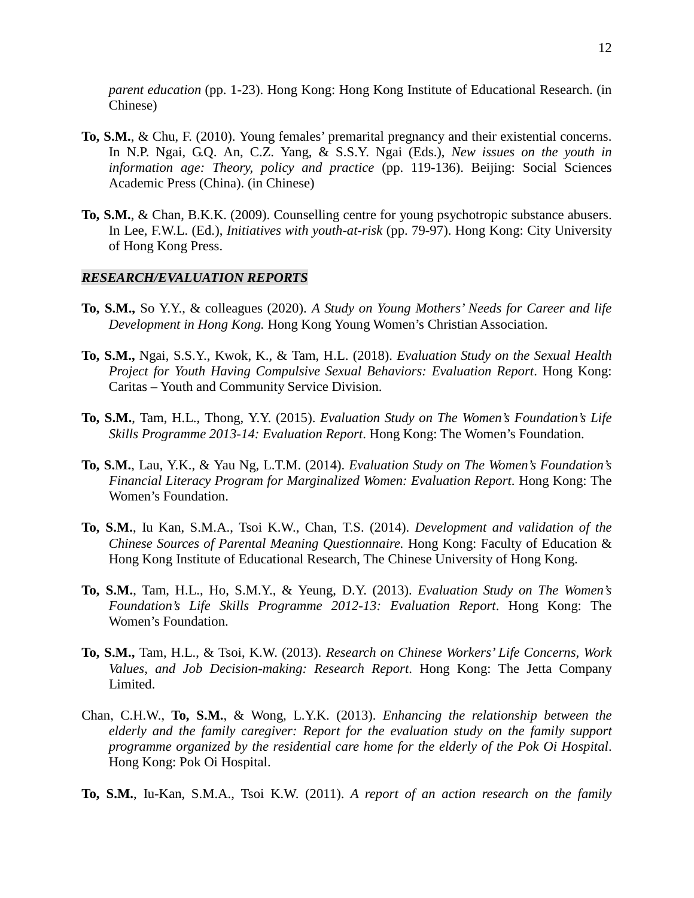*parent education* (pp. 1-23). Hong Kong: Hong Kong Institute of Educational Research. (in Chinese)

- **To, S.M.**, & Chu, F. (2010). Young females' premarital pregnancy and their existential concerns. In N.P. Ngai, G.Q. An, C.Z. Yang, & S.S.Y. Ngai (Eds.), *New issues on the youth in information age: Theory, policy and practice* (pp. 119-136). Beijing: Social Sciences Academic Press (China). (in Chinese)
- **To, S.M.**, & Chan, B.K.K. (2009). Counselling centre for young psychotropic substance abusers. In Lee, F.W.L. (Ed.), *Initiatives with youth-at-risk* (pp. 79-97). Hong Kong: City University of Hong Kong Press.

#### *RESEARCH/EVALUATION REPORTS*

- **To, S.M.,** So Y.Y., & colleagues (2020). *A Study on Young Mothers' Needs for Career and life Development in Hong Kong.* Hong Kong Young Women's Christian Association.
- **To, S.M.,** Ngai, S.S.Y., Kwok, K., & Tam, H.L. (2018). *Evaluation Study on the Sexual Health Project for Youth Having Compulsive Sexual Behaviors: Evaluation Report*. Hong Kong: Caritas – Youth and Community Service Division.
- **To, S.M.**, Tam, H.L., Thong, Y.Y. (2015). *Evaluation Study on The Women's Foundation's Life Skills Programme 2013-14: Evaluation Report*. Hong Kong: The Women's Foundation.
- **To, S.M.**, Lau, Y.K., & Yau Ng, L.T.M. (2014). *Evaluation Study on The Women's Foundation's Financial Literacy Program for Marginalized Women: Evaluation Report*. Hong Kong: The Women's Foundation.
- **To, S.M.**, Iu Kan, S.M.A., Tsoi K.W., Chan, T.S. (2014). *Development and validation of the Chinese Sources of Parental Meaning Questionnaire.* Hong Kong: Faculty of Education & Hong Kong Institute of Educational Research, The Chinese University of Hong Kong.
- **To, S.M.**, Tam, H.L., Ho, S.M.Y., & Yeung, D.Y. (2013). *Evaluation Study on The Women's Foundation's Life Skills Programme 2012-13: Evaluation Report*. Hong Kong: The Women's Foundation.
- **To, S.M.,** Tam, H.L., & Tsoi, K.W. (2013). *Research on Chinese Workers' Life Concerns, Work Values, and Job Decision-making: Research Report*. Hong Kong: The Jetta Company Limited.
- Chan, C.H.W., **To, S.M.**, & Wong, L.Y.K. (2013). *Enhancing the relationship between the elderly and the family caregiver: Report for the evaluation study on the family support programme organized by the residential care home for the elderly of the Pok Oi Hospital*. Hong Kong: Pok Oi Hospital.
- **To, S.M.**, Iu-Kan, S.M.A., Tsoi K.W. (2011). *A report of an action research on the family*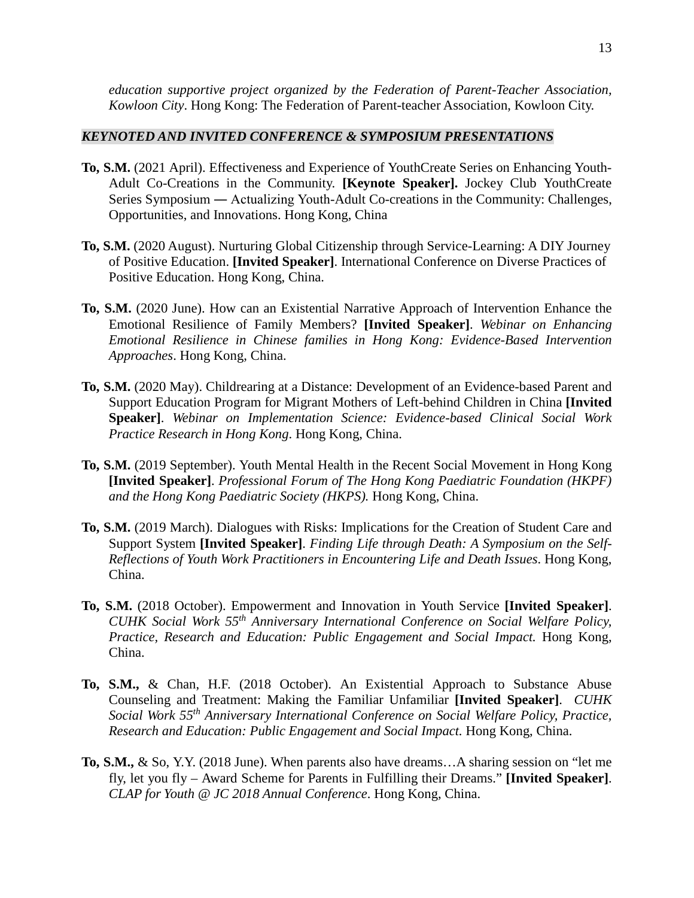*education supportive project organized by the Federation of Parent-Teacher Association, Kowloon City*. Hong Kong: The Federation of Parent-teacher Association, Kowloon City.

### *KEYNOTED AND INVITED CONFERENCE & SYMPOSIUM PRESENTATIONS*

- **To, S.M.** (2021 April). Effectiveness and Experience of YouthCreate Series on Enhancing Youth-Adult Co-Creations in the Community. **[Keynote Speaker].** Jockey Club YouthCreate Series Symposium ― Actualizing Youth-Adult Co-creations in the Community: Challenges, Opportunities, and Innovations. Hong Kong, China
- **To, S.M.** (2020 August). Nurturing Global Citizenship through Service-Learning: A DIY Journey of Positive Education. **[Invited Speaker]**. International Conference on Diverse Practices of Positive Education. Hong Kong, China.
- **To, S.M.** (2020 June). How can an Existential Narrative Approach of Intervention Enhance the Emotional Resilience of Family Members? **[Invited Speaker]**. *Webinar on Enhancing Emotional Resilience in Chinese families in Hong Kong: Evidence-Based Intervention Approaches*. Hong Kong, China.
- **To, S.M.** (2020 May). Childrearing at a Distance: Development of an Evidence-based Parent and Support Education Program for Migrant Mothers of Left-behind Children in China **[Invited Speaker]**. *Webinar on Implementation Science: Evidence-based Clinical Social Work Practice Research in Hong Kong*. Hong Kong, China.
- **To, S.M.** (2019 September). Youth Mental Health in the Recent Social Movement in Hong Kong **[Invited Speaker]**. *Professional Forum of The Hong Kong Paediatric Foundation (HKPF) and the Hong Kong Paediatric Society (HKPS).* Hong Kong, China.
- **To, S.M.** (2019 March). Dialogues with Risks: Implications for the Creation of Student Care and Support System **[Invited Speaker]**. *Finding Life through Death: A Symposium on the Self-Reflections of Youth Work Practitioners in Encountering Life and Death Issues*. Hong Kong, China.
- **To, S.M.** (2018 October). Empowerment and Innovation in Youth Service **[Invited Speaker]**. *CUHK Social Work 55th Anniversary International Conference on Social Welfare Policy, Practice, Research and Education: Public Engagement and Social Impact.* Hong Kong, China.
- **To, S.M.,** & Chan, H.F. (2018 October). An Existential Approach to Substance Abuse Counseling and Treatment: Making the Familiar Unfamiliar **[Invited Speaker]**. *CUHK Social Work 55th Anniversary International Conference on Social Welfare Policy, Practice, Research and Education: Public Engagement and Social Impact.* Hong Kong, China.
- **To, S.M.,** & So, Y.Y. (2018 June). When parents also have dreams…A sharing session on "let me fly, let you fly – Award Scheme for Parents in Fulfilling their Dreams." **[Invited Speaker]**. *CLAP for Youth @ JC 2018 Annual Conference*. Hong Kong, China.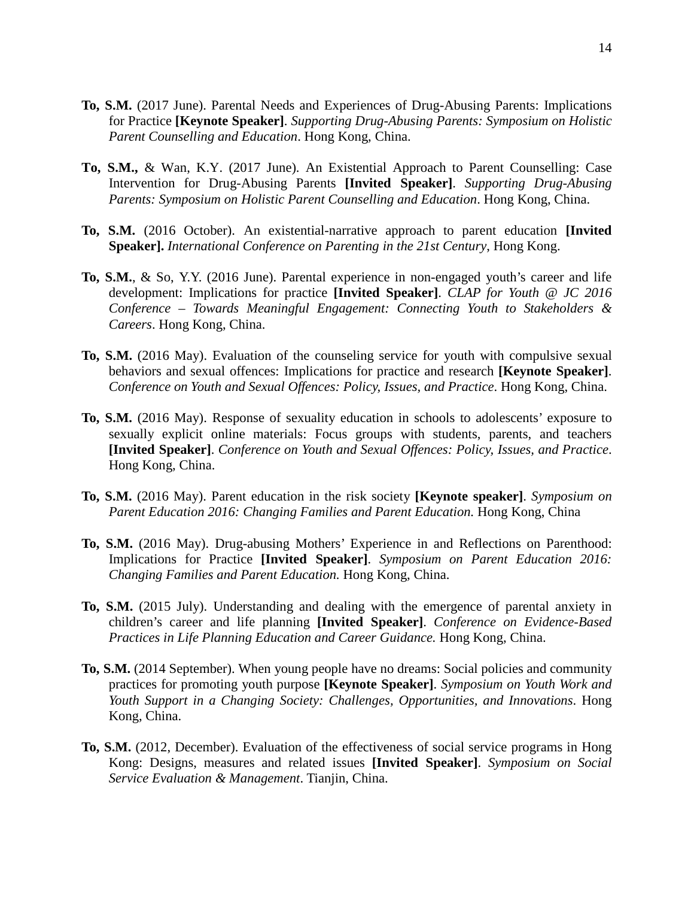- **To, S.M.** (2017 June). Parental Needs and Experiences of Drug-Abusing Parents: Implications for Practice **[Keynote Speaker]**. *Supporting Drug-Abusing Parents: Symposium on Holistic Parent Counselling and Education*. Hong Kong, China.
- **To, S.M.,** & Wan, K.Y. (2017 June). An Existential Approach to Parent Counselling: Case Intervention for Drug-Abusing Parents **[Invited Speaker]**. *Supporting Drug-Abusing Parents: Symposium on Holistic Parent Counselling and Education*. Hong Kong, China.
- **To, S.M.** (2016 October). An existential-narrative approach to parent education **[Invited Speaker].** *International Conference on Parenting in the 21st Century*, Hong Kong.
- **To, S.M.**, & So, Y.Y. (2016 June). Parental experience in non-engaged youth's career and life development: Implications for practice **[Invited Speaker]**. *CLAP for Youth @ JC 2016 Conference – Towards Meaningful Engagement: Connecting Youth to Stakeholders & Careers*. Hong Kong, China.
- **To, S.M.** (2016 May). Evaluation of the counseling service for youth with compulsive sexual behaviors and sexual offences: Implications for practice and research **[Keynote Speaker]**. *Conference on Youth and Sexual Offences: Policy, Issues, and Practice*. Hong Kong, China.
- **To, S.M.** (2016 May). Response of sexuality education in schools to adolescents' exposure to sexually explicit online materials: Focus groups with students, parents, and teachers **[Invited Speaker]**. *Conference on Youth and Sexual Offences: Policy, Issues, and Practice*. Hong Kong, China.
- **To, S.M.** (2016 May). Parent education in the risk society **[Keynote speaker]**. *Symposium on Parent Education 2016: Changing Families and Parent Education.* Hong Kong, China
- **To, S.M.** (2016 May). Drug-abusing Mothers' Experience in and Reflections on Parenthood: Implications for Practice **[Invited Speaker]**. *Symposium on Parent Education 2016: Changing Families and Parent Education.* Hong Kong, China.
- **To, S.M.** (2015 July). Understanding and dealing with the emergence of parental anxiety in children's career and life planning **[Invited Speaker]**. *Conference on Evidence-Based Practices in Life Planning Education and Career Guidance.* Hong Kong, China.
- **To, S.M.** (2014 September). When young people have no dreams: Social policies and community practices for promoting youth purpose **[Keynote Speaker]**. *Symposium on Youth Work and Youth Support in a Changing Society: Challenges, Opportunities, and Innovations*. Hong Kong, China.
- **To, S.M.** (2012, December). Evaluation of the effectiveness of social service programs in Hong Kong: Designs, measures and related issues **[Invited Speaker]**. *Symposium on Social Service Evaluation & Management*. Tianjin, China.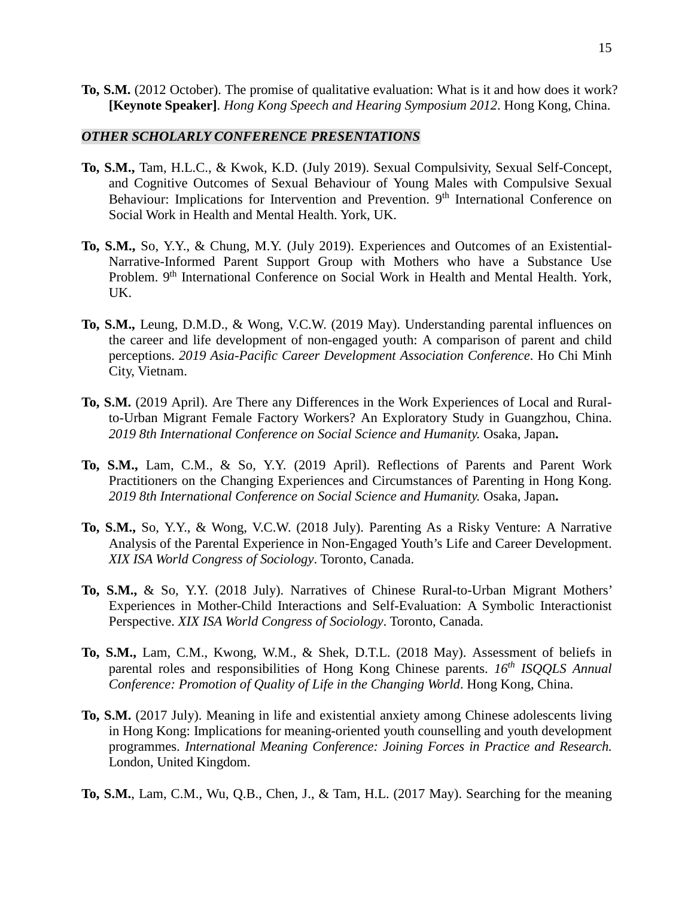**To, S.M.** (2012 October). The promise of qualitative evaluation: What is it and how does it work? **[Keynote Speaker]**. *Hong Kong Speech and Hearing Symposium 2012*. Hong Kong, China.

### *OTHER SCHOLARLY CONFERENCE PRESENTATIONS*

- **To, S.M.,** Tam, H.L.C., & Kwok, K.D. (July 2019). Sexual Compulsivity, Sexual Self-Concept, and Cognitive Outcomes of Sexual Behaviour of Young Males with Compulsive Sexual Behaviour: Implications for Intervention and Prevention. 9<sup>th</sup> International Conference on Social Work in Health and Mental Health. York, UK.
- **To, S.M.,** So, Y.Y., & Chung, M.Y. (July 2019). Experiences and Outcomes of an Existential-Narrative-Informed Parent Support Group with Mothers who have a Substance Use Problem. 9<sup>th</sup> International Conference on Social Work in Health and Mental Health. York, UK.
- **To, S.M.,** Leung, D.M.D., & Wong, V.C.W. (2019 May). Understanding parental influences on the career and life development of non-engaged youth: A comparison of parent and child perceptions. *2019 Asia-Pacific Career Development Association Conference*. Ho Chi Minh City, Vietnam.
- **To, S.M.** (2019 April). Are There any Differences in the Work Experiences of Local and Ruralto-Urban Migrant Female Factory Workers? An Exploratory Study in Guangzhou, China. *2019 8th International Conference on Social Science and Humanity.* Osaka, Japan**.**
- **To, S.M.,** Lam, C.M., & So, Y.Y. (2019 April). Reflections of Parents and Parent Work Practitioners on the Changing Experiences and Circumstances of Parenting in Hong Kong. *2019 8th International Conference on Social Science and Humanity.* Osaka, Japan**.**
- **To, S.M.,** So, Y.Y., & Wong, V.C.W. (2018 July). Parenting As a Risky Venture: A Narrative Analysis of the Parental Experience in Non-Engaged Youth's Life and Career Development. *XIX ISA World Congress of Sociology*. Toronto, Canada.
- **To, S.M.,** & So, Y.Y. (2018 July). Narratives of Chinese Rural-to-Urban Migrant Mothers' Experiences in Mother-Child Interactions and Self-Evaluation: A Symbolic Interactionist Perspective. *XIX ISA World Congress of Sociology*. Toronto, Canada.
- **To, S.M.,** Lam, C.M., Kwong, W.M., & Shek, D.T.L. (2018 May). Assessment of beliefs in parental roles and responsibilities of Hong Kong Chinese parents. *16th ISQQLS Annual Conference: Promotion of Quality of Life in the Changing World*. Hong Kong, China.
- **To, S.M.** (2017 July). Meaning in life and existential anxiety among Chinese adolescents living in Hong Kong: Implications for meaning-oriented youth counselling and youth development programmes. *International Meaning Conference: Joining Forces in Practice and Research.* London, United Kingdom.
- **To, S.M.**, Lam, C.M., Wu, Q.B., Chen, J., & Tam, H.L. (2017 May). Searching for the meaning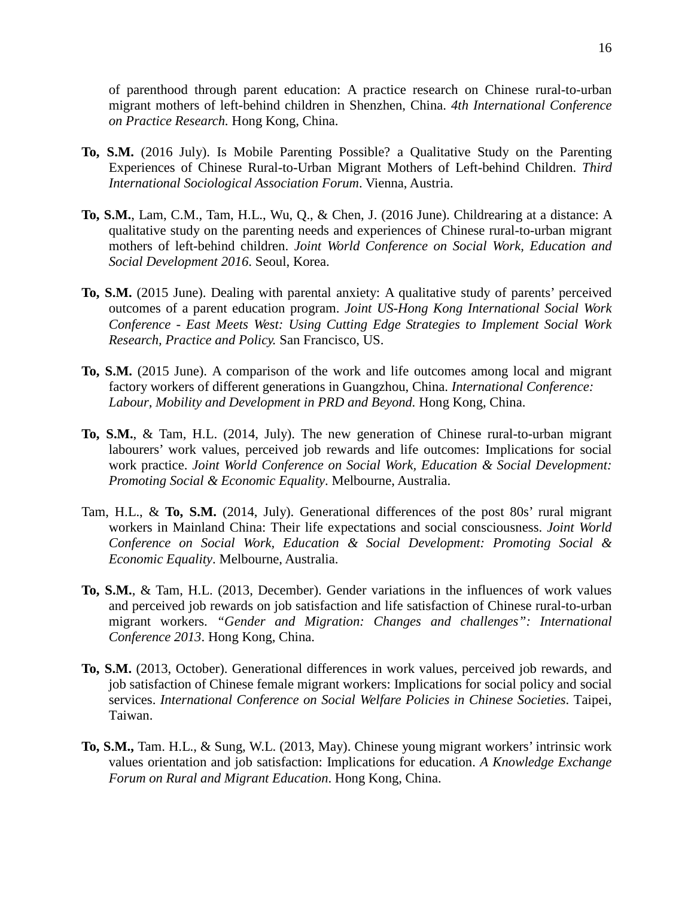of parenthood through parent education: A practice research on Chinese rural-to-urban migrant mothers of left-behind children in Shenzhen, China. *4th International Conference on Practice Research.* Hong Kong, China.

- **To, S.M.** (2016 July). Is Mobile Parenting Possible? a Qualitative Study on the Parenting Experiences of Chinese Rural-to-Urban Migrant Mothers of Left-behind Children. *Third International Sociological Association Forum*. Vienna, Austria.
- **To, S.M.**, Lam, C.M., Tam, H.L., Wu, Q., & Chen, J. (2016 June). Childrearing at a distance: A qualitative study on the parenting needs and experiences of Chinese rural-to-urban migrant mothers of left-behind children. *Joint World Conference on Social Work, Education and Social Development 2016*. Seoul, Korea.
- **To, S.M.** (2015 June). Dealing with parental anxiety: A qualitative study of parents' perceived outcomes of a parent education program. *Joint US-Hong Kong International Social Work Conference - East Meets West: Using Cutting Edge Strategies to Implement Social Work Research, Practice and Policy.* San Francisco, US.
- **To, S.M.** (2015 June). A comparison of the work and life outcomes among local and migrant factory workers of different generations in Guangzhou, China. *International Conference:*  Labour, Mobility and Development in PRD and Beyond. Hong Kong, China.
- **To, S.M.**, & Tam, H.L. (2014, July). The new generation of Chinese rural-to-urban migrant labourers' work values, perceived job rewards and life outcomes: Implications for social work practice. *Joint World Conference on Social Work, Education & Social Development: Promoting Social & Economic Equality*. Melbourne, Australia.
- Tam, H.L., & **To, S.M.** (2014, July). Generational differences of the post 80s' rural migrant workers in Mainland China: Their life expectations and social consciousness. *Joint World Conference on Social Work, Education & Social Development: Promoting Social & Economic Equality*. Melbourne, Australia.
- **To, S.M.**, & Tam, H.L. (2013, December). Gender variations in the influences of work values and perceived job rewards on job satisfaction and life satisfaction of Chinese rural-to-urban migrant workers. *"Gender and Migration: Changes and challenges": International Conference 2013*. Hong Kong, China.
- **To, S.M.** (2013, October). Generational differences in work values, perceived job rewards, and job satisfaction of Chinese female migrant workers: Implications for social policy and social services. *International Conference on Social Welfare Policies in Chinese Societies*. Taipei, Taiwan.
- **To, S.M.,** Tam. H.L., & Sung, W.L. (2013, May). Chinese young migrant workers' intrinsic work values orientation and job satisfaction: Implications for education. *A Knowledge Exchange Forum on Rural and Migrant Education*. Hong Kong, China.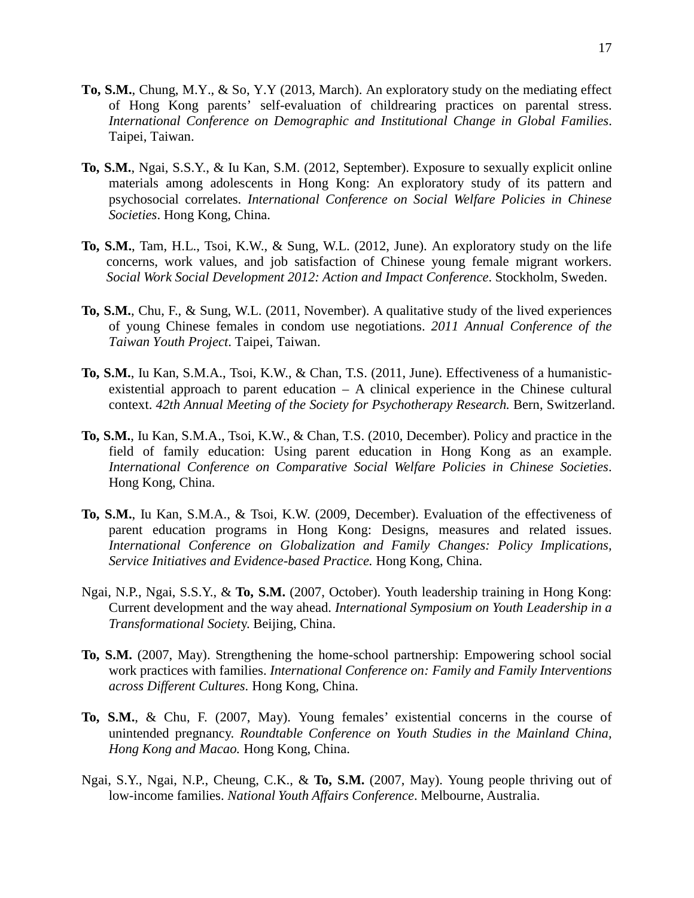- **To, S.M.**, Chung, M.Y., & So, Y.Y (2013, March). An exploratory study on the mediating effect of Hong Kong parents' self-evaluation of childrearing practices on parental stress. *International Conference on Demographic and Institutional Change in Global Families*. Taipei, Taiwan.
- **To, S.M.**, Ngai, S.S.Y., & Iu Kan, S.M. (2012, September). Exposure to sexually explicit online materials among adolescents in Hong Kong: An exploratory study of its pattern and psychosocial correlates. *International Conference on Social Welfare Policies in Chinese Societies*. Hong Kong, China.
- **To, S.M.**, Tam, H.L., Tsoi, K.W., & Sung, W.L. (2012, June). An exploratory study on the life concerns, work values, and job satisfaction of Chinese young female migrant workers. *Social Work Social Development 2012: Action and Impact Conference*. Stockholm, Sweden.
- **To, S.M.**, Chu, F., & Sung, W.L. (2011, November). A qualitative study of the lived experiences of young Chinese females in condom use negotiations. *2011 Annual Conference of the Taiwan Youth Project*. Taipei, Taiwan.
- **To, S.M.**, Iu Kan, S.M.A., Tsoi, K.W., & Chan, T.S. (2011, June). Effectiveness of a humanisticexistential approach to parent education – A clinical experience in the Chinese cultural context. *42th Annual Meeting of the Society for Psychotherapy Research.* Bern, Switzerland.
- **To, S.M.**, Iu Kan, S.M.A., Tsoi, K.W., & Chan, T.S. (2010, December). Policy and practice in the field of family education: Using parent education in Hong Kong as an example. *International Conference on Comparative Social Welfare Policies in Chinese Societies*. Hong Kong, China.
- **To, S.M.**, Iu Kan, S.M.A., & Tsoi, K.W. (2009, December). Evaluation of the effectiveness of parent education programs in Hong Kong: Designs, measures and related issues. *International Conference on Globalization and Family Changes: Policy Implications, Service Initiatives and Evidence-based Practice.* Hong Kong, China.
- Ngai, N.P., Ngai, S.S.Y., & **To, S.M.** (2007, October). Youth leadership training in Hong Kong: Current development and the way ahead. *International Symposium on Youth Leadership in a Transformational Societ*y. Beijing, China.
- **To, S.M.** (2007, May). Strengthening the home-school partnership: Empowering school social work practices with families. *International Conference on: Family and Family Interventions across Different Cultures.* Hong Kong, China.
- **To, S.M.**, & Chu, F. (2007, May). Young females' existential concerns in the course of unintended pregnancy. *Roundtable Conference on Youth Studies in the Mainland China, Hong Kong and Macao.* Hong Kong, China.
- Ngai, S.Y., Ngai, N.P., Cheung, C.K., & **To, S.M.** (2007, May). Young people thriving out of low-income families. *National Youth Affairs Conference*. Melbourne, Australia.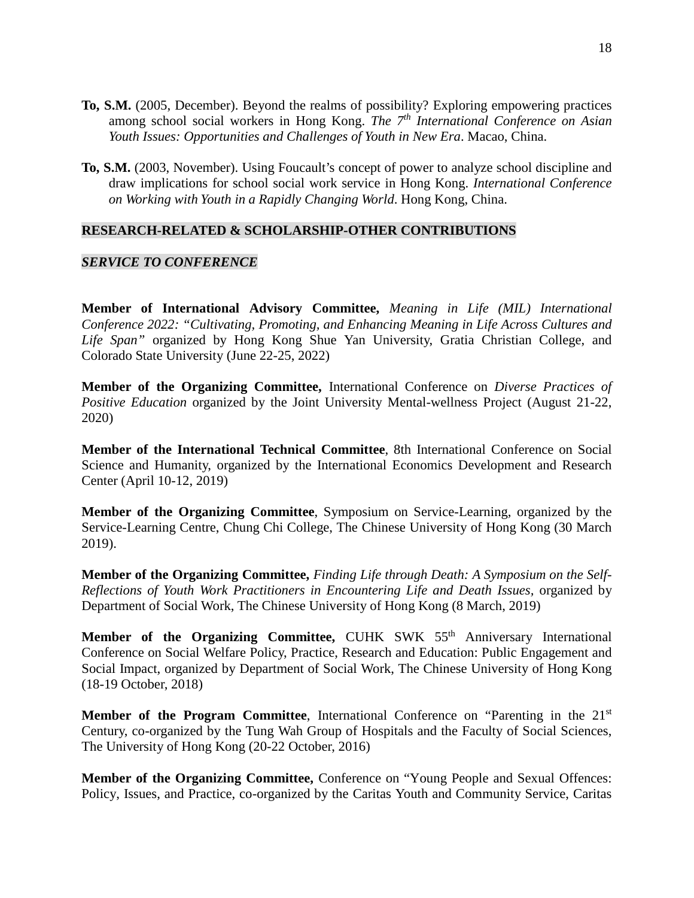- **To, S.M.** (2005, December). Beyond the realms of possibility? Exploring empowering practices among school social workers in Hong Kong. *The 7th International Conference on Asian Youth Issues: Opportunities and Challenges of Youth in New Era*. Macao, China.
- **To, S.M.** (2003, November). Using Foucault's concept of power to analyze school discipline and draw implications for school social work service in Hong Kong. *International Conference on Working with Youth in a Rapidly Changing World*. Hong Kong, China.

### **RESEARCH-RELATED & SCHOLARSHIP-OTHER CONTRIBUTIONS**

### *SERVICE TO CONFERENCE*

**Member of International Advisory Committee,** *Meaning in Life (MIL) International Conference 2022: "Cultivating, Promoting, and Enhancing Meaning in Life Across Cultures and Life Span"* organized by Hong Kong Shue Yan University, Gratia Christian College, and Colorado State University (June 22-25, 2022)

**Member of the Organizing Committee,** International Conference on *Diverse Practices of Positive Education* organized by the Joint University Mental-wellness Project (August 21-22, 2020)

**Member of the International Technical Committee**, 8th International Conference on Social Science and Humanity, organized by the International Economics Development and Research Center (April 10-12, 2019)

**Member of the Organizing Committee**, Symposium on Service-Learning, organized by the Service-Learning Centre, Chung Chi College, The Chinese University of Hong Kong (30 March 2019).

**Member of the Organizing Committee,** *Finding Life through Death: A Symposium on the Self-Reflections of Youth Work Practitioners in Encountering Life and Death Issues,* organized by Department of Social Work, The Chinese University of Hong Kong (8 March, 2019)

**Member of the Organizing Committee, CUHK SWK 55<sup>th</sup> Anniversary International** Conference on Social Welfare Policy, Practice, Research and Education: Public Engagement and Social Impact, organized by Department of Social Work, The Chinese University of Hong Kong (18-19 October, 2018)

**Member of the Program Committee**, International Conference on "Parenting in the 21<sup>st</sup> Century, co-organized by the Tung Wah Group of Hospitals and the Faculty of Social Sciences, The University of Hong Kong (20-22 October, 2016)

**Member of the Organizing Committee,** Conference on "Young People and Sexual Offences: Policy, Issues, and Practice, co-organized by the Caritas Youth and Community Service, Caritas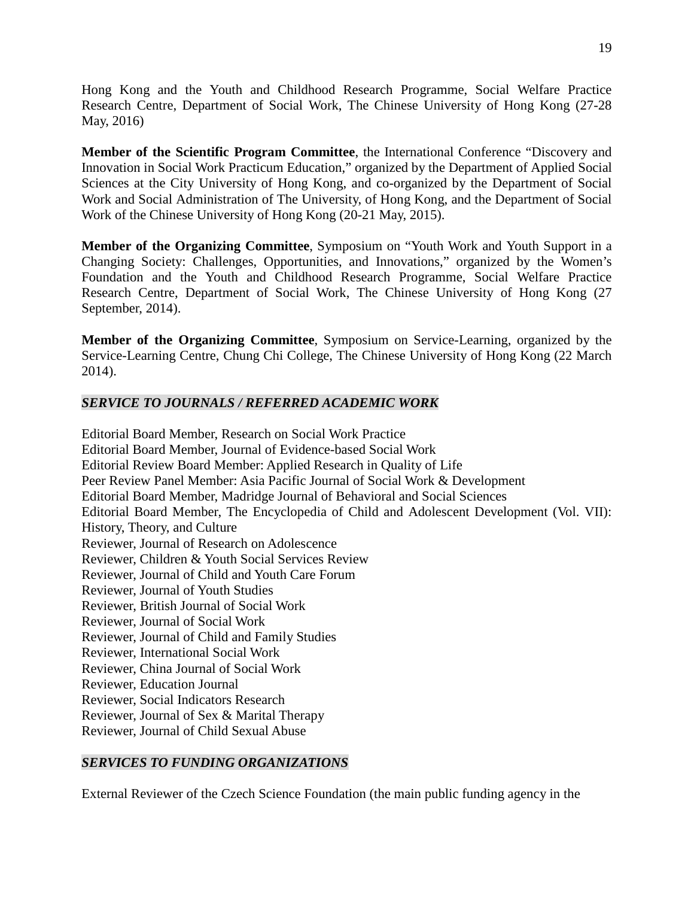Hong Kong and the Youth and Childhood Research Programme, Social Welfare Practice Research Centre, Department of Social Work, The Chinese University of Hong Kong (27-28 May, 2016)

**Member of the Scientific Program Committee**, the International Conference "Discovery and Innovation in Social Work Practicum Education," organized by the Department of Applied Social Sciences at the City University of Hong Kong, and co-organized by the Department of Social Work and Social Administration of The University, of Hong Kong, and the Department of Social Work of the Chinese University of Hong Kong (20-21 May, 2015).

**Member of the Organizing Committee**, Symposium on "Youth Work and Youth Support in a Changing Society: Challenges, Opportunities, and Innovations," organized by the Women's Foundation and the Youth and Childhood Research Programme, Social Welfare Practice Research Centre, Department of Social Work, The Chinese University of Hong Kong (27 September, 2014).

**Member of the Organizing Committee**, Symposium on Service-Learning, organized by the Service-Learning Centre, Chung Chi College, The Chinese University of Hong Kong (22 March 2014).

## *SERVICE TO JOURNALS / REFERRED ACADEMIC WORK*

Editorial Board Member, Research on Social Work Practice Editorial Board Member, Journal of Evidence-based Social Work Editorial Review Board Member: Applied Research in Quality of Life Peer Review Panel Member: Asia Pacific Journal of Social Work & Development Editorial Board Member, Madridge Journal of Behavioral and Social Sciences Editorial Board Member, The Encyclopedia of Child and Adolescent Development (Vol. VII): History, Theory, and Culture Reviewer, Journal of Research on Adolescence Reviewer, Children & Youth Social Services Review Reviewer, Journal of Child and Youth Care Forum Reviewer, Journal of Youth Studies Reviewer, British Journal of Social Work Reviewer, Journal of Social Work Reviewer, Journal of Child and Family Studies Reviewer, International Social Work Reviewer, China Journal of Social Work Reviewer, Education Journal Reviewer, Social Indicators Research Reviewer, Journal of Sex & Marital Therapy Reviewer, Journal of Child Sexual Abuse

## *SERVICES TO FUNDING ORGANIZATIONS*

External Reviewer of the Czech Science Foundation (the main public funding agency in the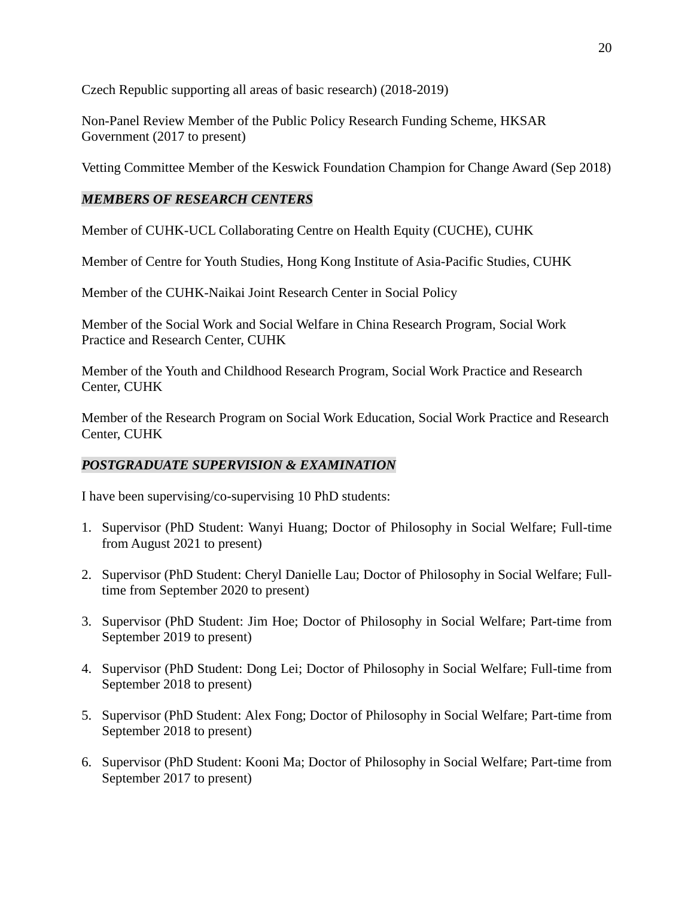Czech Republic supporting all areas of basic research) (2018-2019)

Non-Panel Review Member of the Public Policy Research Funding Scheme, HKSAR Government (2017 to present)

Vetting Committee Member of the Keswick Foundation Champion for Change Award (Sep 2018)

## *MEMBERS OF RESEARCH CENTERS*

Member of CUHK-UCL Collaborating Centre on Health Equity (CUCHE), CUHK

Member of Centre for Youth Studies, Hong Kong Institute of Asia-Pacific Studies, CUHK

Member of the CUHK-Naikai Joint Research Center in Social Policy

Member of the Social Work and Social Welfare in China Research Program, Social Work Practice and Research Center, CUHK

Member of the Youth and Childhood Research Program, Social Work Practice and Research Center, CUHK

Member of the Research Program on Social Work Education, Social Work Practice and Research Center, CUHK

### *POSTGRADUATE SUPERVISION & EXAMINATION*

I have been supervising/co-supervising 10 PhD students:

- 1. Supervisor (PhD Student: Wanyi Huang; Doctor of Philosophy in Social Welfare; Full-time from August 2021 to present)
- 2. Supervisor (PhD Student: Cheryl Danielle Lau; Doctor of Philosophy in Social Welfare; Fulltime from September 2020 to present)
- 3. Supervisor (PhD Student: Jim Hoe; Doctor of Philosophy in Social Welfare; Part-time from September 2019 to present)
- 4. Supervisor (PhD Student: Dong Lei; Doctor of Philosophy in Social Welfare; Full-time from September 2018 to present)
- 5. Supervisor (PhD Student: Alex Fong; Doctor of Philosophy in Social Welfare; Part-time from September 2018 to present)
- 6. Supervisor (PhD Student: Kooni Ma; Doctor of Philosophy in Social Welfare; Part-time from September 2017 to present)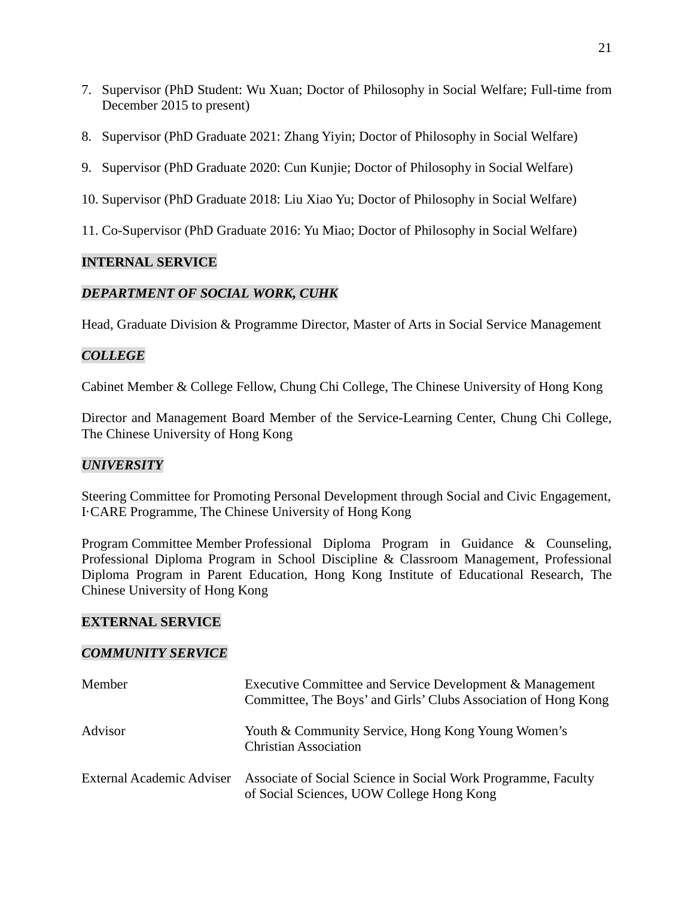- 7. Supervisor (PhD Student: Wu Xuan; Doctor of Philosophy in Social Welfare; Full-time from December 2015 to present)
- 8. Supervisor (PhD Graduate 2021: Zhang Yiyin; Doctor of Philosophy in Social Welfare)
- 9. Supervisor (PhD Graduate 2020: Cun Kunjie; Doctor of Philosophy in Social Welfare)
- 10. Supervisor (PhD Graduate 2018: Liu Xiao Yu; Doctor of Philosophy in Social Welfare)
- 11. Co-Supervisor (PhD Graduate 2016: Yu Miao; Doctor of Philosophy in Social Welfare)

## **INTERNAL SERVICE**

## *DEPARTMENT OF SOCIAL WORK, CUHK*

Head, Graduate Division & Programme Director, Master of Arts in Social Service Management

## *COLLEGE*

Cabinet Member & College Fellow, Chung Chi College, The Chinese University of Hong Kong

Director and Management Board Member of the Service-Learning Center, Chung Chi College, The Chinese University of Hong Kong

## *UNIVERSITY*

Steering Committee for Promoting Personal Development through Social and Civic Engagement, I·CARE Programme, The Chinese University of Hong Kong

Program Committee Member Professional Diploma Program in Guidance & Counseling, Professional Diploma Program in School Discipline & Classroom Management, Professional Diploma Program in Parent Education, Hong Kong Institute of Educational Research, The Chinese University of Hong Kong

### **EXTERNAL SERVICE**

### *COMMUNITY SERVICE*

| Member                    | Executive Committee and Service Development & Management<br>Committee, The Boys' and Girls' Clubs Association of Hong Kong |
|---------------------------|----------------------------------------------------------------------------------------------------------------------------|
| Advisor                   | Youth & Community Service, Hong Kong Young Women's<br><b>Christian Association</b>                                         |
| External Academic Adviser | Associate of Social Science in Social Work Programme, Faculty<br>of Social Sciences, UOW College Hong Kong                 |